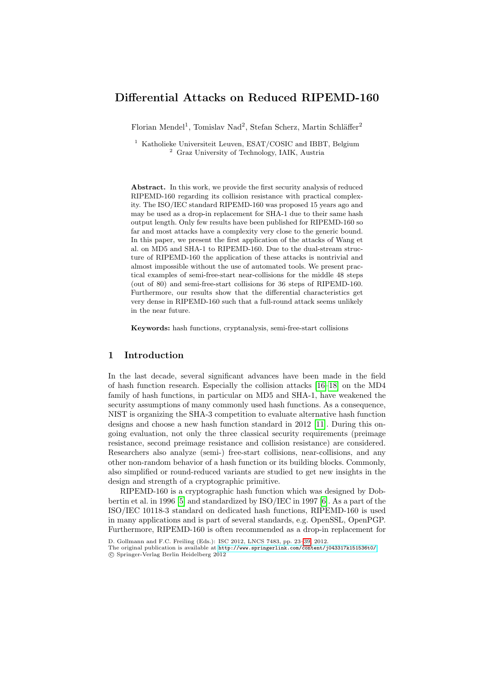# Differential Attacks on Reduced RIPEMD-160

Florian Mendel<sup>1</sup>, Tomislav Nad<sup>2</sup>, Stefan Scherz, Martin Schläffer<sup>2</sup>

<sup>1</sup> Katholieke Universiteit Leuven, ESAT/COSIC and IBBT, Belgium <sup>2</sup> Graz University of Technology, IAIK, Austria

Abstract. In this work, we provide the first security analysis of reduced RIPEMD-160 regarding its collision resistance with practical complexity. The ISO/IEC standard RIPEMD-160 was proposed 15 years ago and may be used as a drop-in replacement for SHA-1 due to their same hash output length. Only few results have been published for RIPEMD-160 so far and most attacks have a complexity very close to the generic bound. In this paper, we present the first application of the attacks of Wang et al. on MD5 and SHA-1 to RIPEMD-160. Due to the dual-stream structure of RIPEMD-160 the application of these attacks is nontrivial and almost impossible without the use of automated tools. We present practical examples of semi-free-start near-collisions for the middle 48 steps (out of 80) and semi-free-start collisions for 36 steps of RIPEMD-160. Furthermore, our results show that the differential characteristics get very dense in RIPEMD-160 such that a full-round attack seems unlikely in the near future.

Keywords: hash functions, crypt[ana](#page-12-0)l[ysis](#page-12-1), semi-free-start collisions

### 1 Introduction

In the last decade, several significan[t a](#page-12-2)dvances have been made in the field of hash function research. Especially the collision attacks [16–18] on the MD4 family of hash functions, in particular on MD5 and SHA-1, have weakened the security assumptions of many commonly used hash functions. As a consequence, NIST is organizing the SHA-3 competition to evaluate alternative hash function designs and choose a new hash function standard in 2012 [11]. During this ongoing evaluation, not only the three classical security requirements (preimage [r](#page-12-3)esistance, second preimage resistance [an](#page-12-4)d collision resistance) are considered. Researchers also analyze (semi-) free-start collisions, near-collisions, and any other non-random behavior of a hash function or its building blocks. Commonly, also simplified or round-reduced variants are studied to get new insights in the design and strength of a cryptographic primitive.

RIPE[MD-160 is a cryptographic hash function which](http://www.springerlink.com/content/j043317k151536t0/) was designed by Dobbertin et al. in 1996 [5] and standardized by ISO/IEC in 1997 [6]. As a part of the ISO/IEC 10118-3 standard on dedicated hash functions, RIPEMD-160 is used in many applications and is part of several standards, e.g. OpenSSL, OpenPGP. Furthermore, RIPEMD-160 is often recommended as a drop-in replacement for

D. Gollmann and F.C. Freiling (Eds.): ISC 2012, LNCS 7483, pp. 23–39, 2012.

The original publication is available at http://www.springerlink.com/content/j043317k151536t0/ c Springer-Verlag Berlin Heidelberg 2012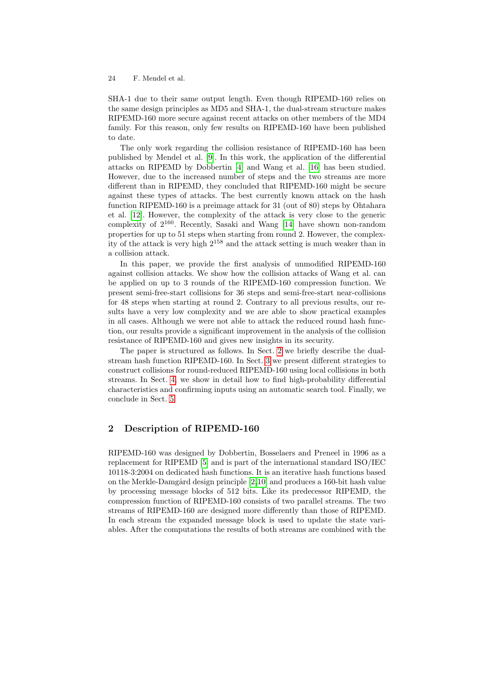SHA-1 [du](#page-12-5)e to their same output length. Even though RIPEMD-160 relies on the same desig[n p](#page-12-6)rinciples as MD5 a[nd S](#page-12-0)HA-1, the dual-stream structure makes RIPEMD-160 more secure against recent attacks on other members of the MD4 family. For this reason, only few results on RIPEMD-160 have been published to date.

The only work regarding the collision resistance of RIPEMD-160 has been published by Mendel et al. [9]. In this work, the application of the differential attacks on RIPEMD by Do[bber](#page-12-7)tin [4] and Wang et al. [16] has been studied. However, due to the increased number of steps and the two streams are more different than in RIPEMD, they concluded that RIPEMD-160 might be secure against these types of attacks. The best currently known attack on the hash function RIPEMD-160 is a preimage attack for 31 (out of 80) steps by Ohtahara et al. [12]. However, the complexity of the attack is very close to the generic complexity of 2160. Recently, Sasaki and Wang [14] have shown non-random properties for up to 51 steps when starting from round 2. However, the complexity of the attack is very high 2<sup>158</sup> and the attack setting is much weaker than in a collision attack.

In this paper, we provide the first analysis of unmodified RIPEMD-160 against collision attacks. We show how the collision attacks of Wang et al. can be applied on up to 3 rounds of the RIPEMD-160 compression function. We present semi-free-start coll[isi](#page-1-0)ons for 36 steps and semi-free-start near-collisions for 48 steps when start[ing](#page-3-0) at round 2. Contrary to all previous results, our results have a very low complexity and we are able to show practical examples in all cases. Although we were not able to attack the reduced round hash function, our results provide a significant improvement in the analysis of the collision resistance of RIPEMD-160 and gives new insights in its security.

<span id="page-1-0"></span>The paper is structured as follows. In Sect. 2 we briefly describe the dualstream hash function RIPEMD-160. In Sect. 3 we present different strategies to construct collisions for round-reduced RIPEMD-160 using local collisions in both streams. In Sect. 4, we show in detail how to find high-probability differential characteristics and confirming inputs using an automatic search tool. Finally, we conclude in Sect. 5.

## 2 Descriptio[n](#page-12-8) [of](#page-12-9) RIPEMD-160

RIPEMD-160 was designed by Dobbertin, Bosselaers and Preneel in 1996 as a replacement for RIPEMD [5] and is part of the international standard ISO/IEC 10118-3:2004 on dedicated hash functions. It is an iterative hash functions based on the Merkle-Damgård design principle  $[2,10]$  and produces a 160-bit hash value by processing message blocks of 512 bits. Like its predecessor RIPEMD, the compression function of RIPEMD-160 consists of two parallel streams. The two streams of RIPEMD-160 are designed more differently than those of RIPEMD. In each stream the expanded message block is used to update the state variables. After the computations the results of both streams are combined with the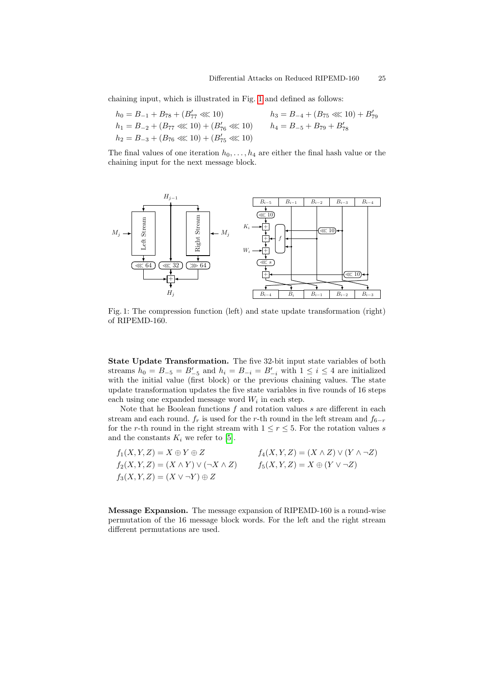chaining input, which is illustrated in Fig. 1 and defined as follows:

 $h_0 = B_{-1} + B_{78} + (B'_{77} \lll 10)$   $h_3 = B_{-4} + (B_{75} \lll 10) + B'_{79}$  $h_1 = B_{-2} + (B_{77} \lll 10) + (B_{76}' \lll 10)$   $h_4 = B_{-5} + B_{79} + B_{78}'$  $h_2 = B_{-3} + (B_{76} \lll 10) + (B_{75}' \lll 10)$ 

The final values of one iteration  $h_0, \ldots, h_4$  are either the final hash value or the chaining input for the next message block.



Fig. 1: The compression function (left) and state update transformation (right) of RIPEMD-160.

State Update Transformation. The five 32-bit input state variables of both streams  $h_0 = B_{-5} = B'_{-5}$  and  $h_i = B_{-i} = B'_{-i}$  with  $1 \le i \le 4$  are initialized with the ini[tia](#page-12-3)l value (first block) or the previous chaining values. The state update transformation updates the five state variables in five rounds of 16 steps each using one expanded message word  $W_i$  in each step.

Note that he Boolean functions  $f$  and rotation values  $s$  are different in each stream and each round.  $f_r$  is used for the r-th round in the left stream and  $f_{6-r}$ for the r-th round in the right stream with  $1 \le r \le 5$ . For the rotation values s and the constants  $K_i$  we refer to [5].

| $f_1(X, Y, Z) = X \oplus Y \oplus Z$                 | $f_4(X, Y, Z) = (X \wedge Z) \vee (Y \wedge \neg Z)$ |
|------------------------------------------------------|------------------------------------------------------|
| $f_2(X, Y, Z) = (X \wedge Y) \vee (\neg X \wedge Z)$ | $f_5(X, Y, Z) = X \oplus (Y \vee \neg Z)$            |
| $f_3(X, Y, Z) = (X \vee \neg Y) \oplus Z$            |                                                      |

Message Expansion. The message expansion of RIPEMD-160 is a round-wise permutation of the 16 message block words. For the left and the right stream different permutations are used.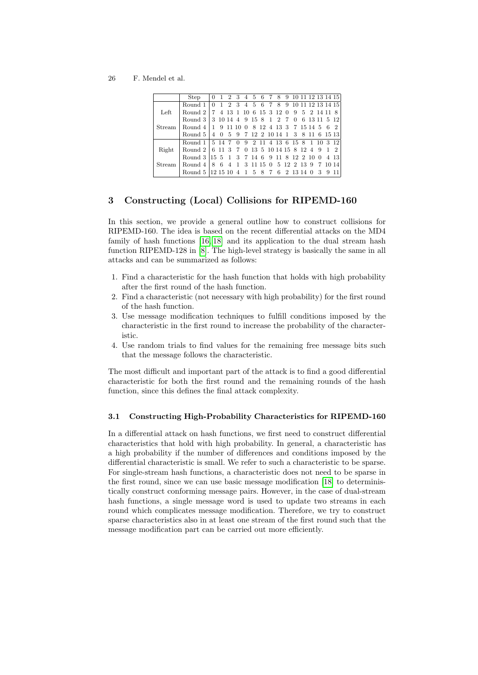|               | Step                                            |  |  |  |  |  |  | 0 1 2 3 4 5 6 7 8 9 10 11 12 13 14 15 |  |  |
|---------------|-------------------------------------------------|--|--|--|--|--|--|---------------------------------------|--|--|
|               | Round 1                                         |  |  |  |  |  |  | 0 1 2 3 4 5 6 7 8 9 10 11 12 13 14 15 |  |  |
| Left          | Round 2   7 4 13 1 10 6 15 3 12 0 9 5 2 14 11 8 |  |  |  |  |  |  |                                       |  |  |
|               | Round 3 3 10 14 4 9 15 8 1 2 7 0 6 13 11 5 12   |  |  |  |  |  |  |                                       |  |  |
| Stream        | Round 4   1 9 11 10 0 8 12 4 13 3 7 15 14 5 6 2 |  |  |  |  |  |  |                                       |  |  |
|               | Round 5 4 0 5 9 7 12 2 10 14 1 3 8 11 6 15 13   |  |  |  |  |  |  |                                       |  |  |
|               | Round 1   5 14 7 0 9 2 11 4 13 6 15 8 1 10 3 12 |  |  |  |  |  |  |                                       |  |  |
| Right         | Round 2   6 11 3 7 0 13 5 10 14 15 8 12 4 9 1 2 |  |  |  |  |  |  |                                       |  |  |
|               | Round 3 15 5 1 3 7 14 6 9 11 8 12 2 10 0 4 13   |  |  |  |  |  |  |                                       |  |  |
| <b>Stream</b> | Round 4   8 6 4 1 3 11 15 0 5 12 2 13 9 7 10 14 |  |  |  |  |  |  |                                       |  |  |
|               | Round 5 12 15 10 4 1 5 8 7 6 2 13 14 0 3 9 11   |  |  |  |  |  |  |                                       |  |  |
|               |                                                 |  |  |  |  |  |  |                                       |  |  |

## <span id="page-3-0"></span>3 [C](#page-12-10)onstructing (Local) Collisions for RIPEMD-160

In this section, we provide a general outline how to construct collisions for RIPEMD-160. The idea is based on the recent differential attacks on the MD4 family of hash functions [16, 18] and its application to the dual stream hash function RIPEMD-128 in [8]. The high-level strategy is basically the same in all attacks and can be summarized as follows:

- 1. Find a characteristic for the hash function that holds with high probability after the first round of the hash function.
- 2. Find a characteristic (not necessary with high probability) for the first round of the hash function.
- 3. Use message modification techniques to fulfill conditions imposed by the characteristic in the first round to increase the probability of the characteristic.
- 4. Use random trials to find values for the remaining free message bits such that the message follows the characteristic.

The most difficult and important part of the attack is to find a good differential characteristic for both the first round and the remaining rounds of the hash function, since this defines the final attack complexity.

## 3.1 Constructing High-Probability Characteristics for RIPEMD-160

In a differential attack on hash function[s, w](#page-12-1)e first need to construct differential characteristics that hold with high probability. In general, a characteristic has a high probability if the number of differences and conditions imposed by the differential characteristic is small. We refer to such a characteristic to be sparse. For single-stream hash functions, a characteristic does not need to be sparse in the first round, since we can use basic message modification [18] to deterministically construct conforming message pairs. However, in the case of dual-stream hash functions, a single message word is used to update two streams in each round which complicates message modification. Therefore, we try to construct sparse characteristics also in at least one stream of the first round such that the message modification part can be carried out more efficiently.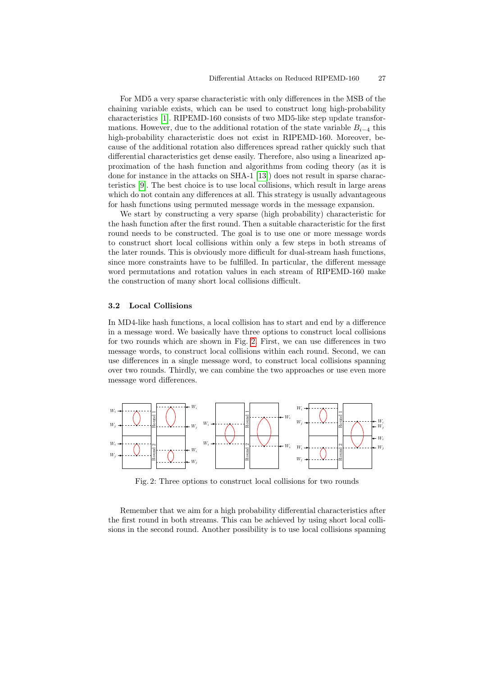For MD5 a very sparse characteristic with only differences in the MSB of the chaining variable exists, which can be used to construct long high-probability characteristics [1]. RI[PEM](#page-12-11)D-160 consists of two MD5-like step update transformations. However, due to the additional rotation of the state variable  $B_{i-4}$  this high-probability characteristic does not exist in RIPEMD-160. Moreover, because of the additional rotation also differences spread rather quickly such that differential characteristics get dense easily. Therefore, also using a linearized approximation of the hash function and algorithms from coding theory (as it is done for instance in the attacks on SHA-1 [13]) does not result in sparse characteristics [9]. The best choice is to use local collisions, which result in large areas which do not contain any differences at all. This strategy is usually advantageous for hash functions using permuted message words in the message expansion.

We start by constructing a very sparse (high probability) characteristic for the hash function after the first round. Then a suitable characteristic for the first round needs to be constructed. The goal is to use one or more message words to construct short local collisions within only a few steps in both streams of the later rounds. This is obviously more difficult for dual-stream hash functions, since more constraints have to be fulfilled. In particular, the different message word permutations and rotation values in each stream of RIPEMD-160 make the construction of [m](#page-4-0)any short local collisions difficult.

#### 3.2 Local Collisions

<span id="page-4-0"></span>In MD4-like hash functions, a local collision has to start and end by a difference in a message word. We basically have three options to construct local collisions for two rounds which are shown in Fig. 2. First, we can use differences in two message words, to construct local collisions within each round. Second, we can use differences in a single message word, to construct local collisions spanning over two rounds. Thirdly, we can combine the two approaches or use even more message word differences.



Fig. 2: Three options to construct local collisions for two rounds

Remember that we aim for a high probability differential characteristics after the first round in both streams. This can be achieved by using short local collisions in the second round. Another possibility is to use local collisions spanning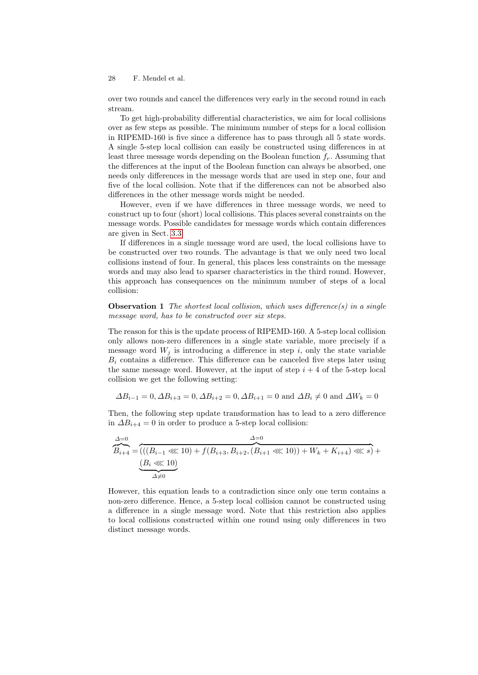over two rounds and cancel the differences very early in the second round in each stream.

To get high-probability differential characteristics, we aim for local collisions over as few steps as possible. The minimum number of steps for a local collision in RIPEMD-160 is five since a difference has to pass through all 5 state words. A single 5-step local collision can easily be constructed using differences in at least three message words depending on the Boolean function  $f_r$ . Assuming that the differences at the input of the Boolean function can always be absorbed, one [n](#page-6-0)eeds only differences in the message words that are used in step one, four and five of the local collision. Note that if the differences can not be absorbed also differences in the other message words might be needed.

However, even if we have differences in three message words, we need to construct up to four (short) local collisions. This places several constraints on the message words. Possible candidates for message words which contain differences are given in Sect. 3.3.

If differences in a single message word are used, the local collisions have to be constructed over two rounds. The advantage is that we only need two local collisions instead of four. In general, this places less constraints on the message words and may also lead to sparser characteristics in the third round. However, this approach has consequences on the minimum number of steps of a local collision:

**Observation 1** The shortest local collision, which uses difference(s) in a single message word, has to be constructed over six steps.

The reason for this is the update process of RIPEMD-160. A 5-step local collision only allows non-zero differences in a single state variable, more precisely if a message word  $W_i$  is introducing a difference in step i, only the state variable  $B_i$  contains a difference. This difference can be canceled five steps later using the same message word. However, at the input of step  $i + 4$  of the 5-step local collision we get the following setting:

$$
\Delta B_{i-1} = 0, \Delta B_{i+3} = 0, \Delta B_{i+2} = 0, \Delta B_{i+1} = 0
$$
 and  $\Delta B_i \neq 0$  and  $\Delta W_k = 0$ 

Then, the following step update transformation has to lead to a zero difference in  $\Delta B_{i+4} = 0$  in order to produce a 5-step local collision:

$$
\overbrace{B_{i+4}}^{\Delta=0} = \overbrace{((B_{i-1} \lll 10) + f(B_{i+3}, B_{i+2}, (B_{i+1} \lll 10)) + W_k + K_{i+4}) \lll s)}^{\Delta=0} + \underbrace{(B_i \lll 10)}^{\Delta=0}
$$

However, this equation leads to a contradiction since only one term contains a non-zero difference. Hence, a 5-step local collision cannot be constructed using a difference in a single message word. Note that this restriction also applies to local collisions constructed within one round using only differences in two distinct message words.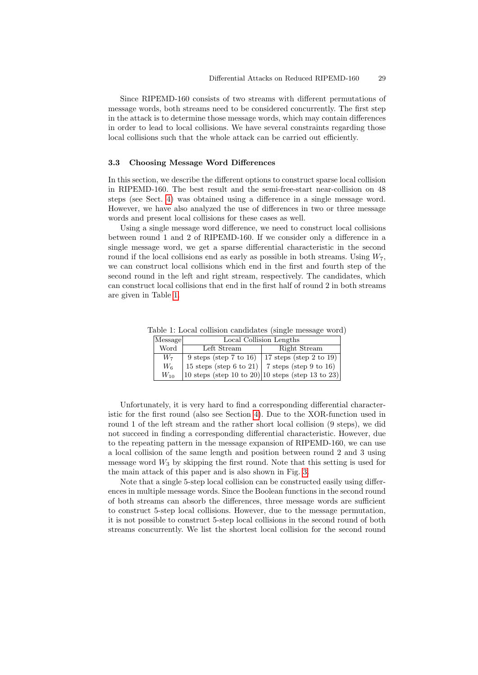<span id="page-6-0"></span>Since RIPEMD-160 consists of two streams with different permutations of message words, both streams need to be considered concurrently. The first step in the attack is to determine those message words, which may contain differences in order to lead to local collisions. We have several constraints regarding those local collisions such that the whole attack can be carried out efficiently.

## 3.3 Choosing Message Word Differences

In this section, we describe the different options to construct sparse local collision in RIPEMD-160. The best result and the semi-free-start near-collision on 48 steps (see Sect. 4) was obtained using a difference in a single message word. However, we have also analyzed the use of differences in two or three message words and present local collisions for these cases as well.

Using a single message word difference, we need to construct local collisions between round 1 and 2 of RIPEMD-160. If we consider only a difference in a single message word, we get a sparse differential characteristic in the second round if the local collisions end as early as possible in both streams. Using  $W_7$ , we can construct local collisions which end in the first and fourth step of the second round in the left and right stream, respectively. The candidates, which can construct local collisions that end in the first half of round 2 in both streams are given in Table 1.

Table 1: Local collision candidates (single message word)

| Message  | Local Collision Lengths                          |                                                                       |  |  |  |  |  |  |
|----------|--------------------------------------------------|-----------------------------------------------------------------------|--|--|--|--|--|--|
| Word     | Left Stream                                      | Right Stream                                                          |  |  |  |  |  |  |
| $W_7$    | $9$ steps (step 7 to 16)                         | 17 steps (step 2 to 19)                                               |  |  |  |  |  |  |
| $W_6$    | 15 steps (step 6 to 21)   7 steps (step 9 to 16) |                                                                       |  |  |  |  |  |  |
| $W_{10}$ |                                                  | $ 10 \text{ steps (step 10 to 20)} 10 \text{ steps (step 13 to 23)} $ |  |  |  |  |  |  |

Unfortunately, it is very hard to find a corresponding differential characteristic for the first round (also see [Sec](#page-7-0)tion 4). Due to the XOR-function used in round 1 of the left stream and the rather short local collision (9 steps), we did not succeed in finding a corresponding differential characteristic. However, due to the repeating pattern in the message expansion of RIPEMD-160, we can use a local collision of the same length and position between round 2 and 3 using message word  $W_3$  by skipping the first round. Note that this setting is used for the main attack of this paper and is also shown in Fig. 3.

Note that a single 5-step local collision can be constructed easily using differences in multiple message words. Since the Boolean functions in the second round of both streams can absorb the differences, three message words are sufficient to construct 5-step local collisions. However, due to the message permutation, it is not possible to construct 5-step local collisions in the second round of both streams concurrently. We list the shortest local collision for the second round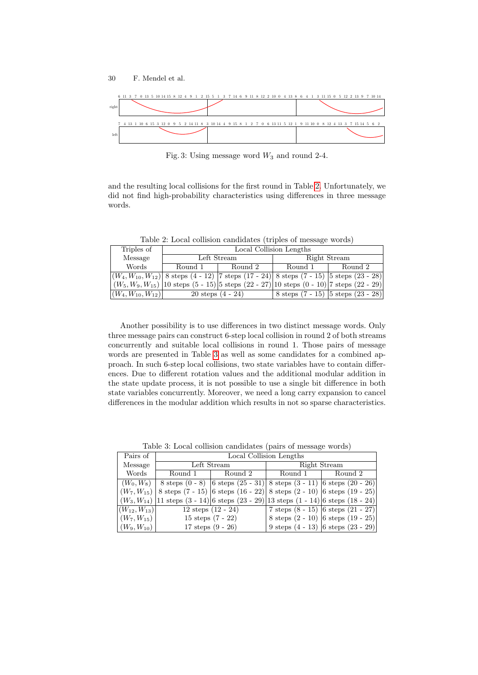<span id="page-7-0"></span>



Fig. 3: Using message word  $W_3$  and round 2-4.

and the resulting local collisions for the first round in Table 2. Unfortunately, we did not find high-probability characteristics using differences in three message words.

Table 2: Local collision candidates (triples of message words)

| Triples of                | Local Collision Lengths      |             |              |                                                                                                           |  |  |  |  |
|---------------------------|------------------------------|-------------|--------------|-----------------------------------------------------------------------------------------------------------|--|--|--|--|
| Message                   |                              | Left Stream | Right Stream |                                                                                                           |  |  |  |  |
| Words                     | Round 1                      | Round 2     | Round 1      | Round 2                                                                                                   |  |  |  |  |
|                           |                              |             |              | $ (W_4, W_{10}, W_{12}) $ 8 steps $(4 - 12)$  7 steps $(17 - 24)$ 8 steps $(7 - 15)$  5 steps $(23 - 28)$ |  |  |  |  |
|                           |                              |             |              | $(W_5, W_9, W_{15})$ 10 steps $(5 - 15)$ 5 steps $(22 - 27)$ 10 steps $(0 - 10)$ 7 steps $(22 - 29)$      |  |  |  |  |
| $ (W_4, W_{10}, W_{12}) $ | $20 \text{ steps } (4 - 24)$ |             |              | 8 steps $(7 - 15)$ 5 steps $(23 - 28)$                                                                    |  |  |  |  |

<span id="page-7-1"></span>Another possibility is to use differences in two distinct message words. Only three message pairs can construct 6-step local collision in round 2 of both streams concurrently and suitable local collisions in round 1. Those pairs of message words are presented in Table 3 as well as some candidates for a combined approach. In such 6-step local collisions, two state variables have to contain differences. Due to different rotation values and the additional modular addition in the state update process, it is not possible to use a single bit difference in both state variables concurrently. Moreover, we need a long carry expansion to cancel differences in the modular addition which results in not so sparse characteristics.

| Pairs of                               | Local Collision Lengths |                                                                                                                               |              |                                         |  |  |  |  |  |
|----------------------------------------|-------------------------|-------------------------------------------------------------------------------------------------------------------------------|--------------|-----------------------------------------|--|--|--|--|--|
| Message                                |                         | Left Stream                                                                                                                   | Right Stream |                                         |  |  |  |  |  |
| Words                                  | Round 1                 | Round 2                                                                                                                       | Round 1      | Round 2                                 |  |  |  |  |  |
|                                        |                         | $(W_0, W_8)$   8 steps $(0 - 8)$   6 steps $(25 - 31)$   8 steps $(3 - 11)$   6 steps $(20 - 26)$                             |              |                                         |  |  |  |  |  |
|                                        |                         | $ (W_7, W_{15}) $ 8 steps $(7 - 15) $ 6 steps $(16 - 22) $ 8 steps $(2 - 10) $ 6 steps $(19 - 25) $                           |              |                                         |  |  |  |  |  |
|                                        |                         | $ (W_3, W_{14}) 11 \text{ steps } (3 - 14) 6 \text{ steps } (23 - 29) 13 \text{ steps } (1 - 14) 6 \text{ steps } (18 - 24) $ |              |                                         |  |  |  |  |  |
| $\left\vert(W_{12},W_{13})\right\vert$ | $12$ steps $(12 - 24)$  |                                                                                                                               |              | 7 steps $(8 - 15)$ 6 steps $(21 - 27)$  |  |  |  |  |  |
| $ (W_7, W_{15}) $                      | 15 steps $(7 - 22)$     |                                                                                                                               |              | 8 steps $(2 - 10)$ 6 steps $(19 - 25)$  |  |  |  |  |  |
| $ (W_9, W_{10}) $                      | 17 steps $(9 - 26)$     |                                                                                                                               |              | 9 steps $(4 - 13)$  6 steps $(23 - 29)$ |  |  |  |  |  |

Table 3: Local collision candidates (pairs of message words)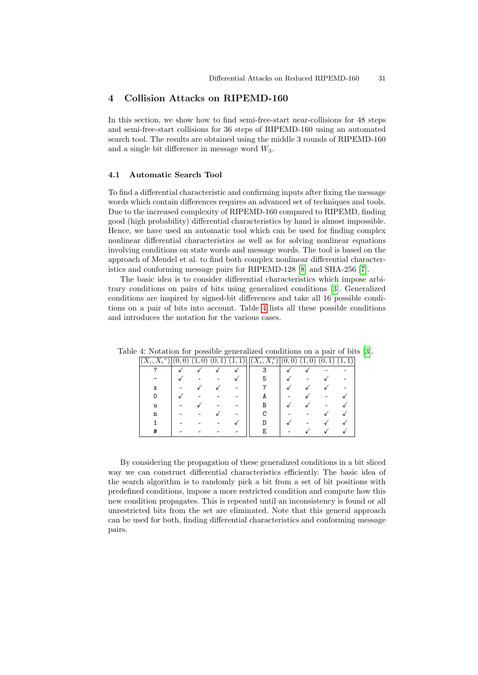### 4 Collision Attacks on RIPEMD-160

In this section, we show how to find semi-free-start near-collisions for 48 steps and semi-free-start collisions for 36 steps of RIPEMD-160 using an automated search tool. The results are obtained using the middle 3 rounds of RIPEMD-160 and a single bit difference in message word  $W_3$ .

#### 4.1 Automatic Search Tool

To find a differential characteristic and confirming inputs after fixing the message words which contain differences requires an advanced set of techniques and tools. Due to the increased complexity o[f R](#page-12-10)IPEMD-160 c[om](#page-12-12)pared to RIPEMD, finding good (high probability) differential characteristics by hand is almost impossible. Hence, we have used an automatic tool w[hic](#page-12-13)h can be used for finding complex nonlinear differential characteristics as well as for solving nonlinear equations involving conditions o[n s](#page-8-0)tate words and message words. The tool is based on the approach of Mendel et al. to find both complex nonlinear differential characteristics and conforming message pairs for RIPEMD-128 [8] and SHA-256 [7].

<span id="page-8-0"></span>The basic idea is to consider differential characteristics which impose arbitrary conditions on pairs of bits using generalized conditions [3]. Generalized conditions are inspired by signed-bit differences an[d t](#page-12-13)ake all 16 possible conditions on a pair of bits into account. Table 4 lists all these possible conditions and introduces the notation for the various cases.

| $(X_i, X_i^*)$ | 0, | $\overline{0}$<br>(1, | (0, 1) | (1, 1) | $\overline{ (X_i,X^*_i) }$ | (0,<br>$\left( 0\right)$ | $\overline{0}$<br>(1, | (0, 0)<br>1) | (1,1) |
|----------------|----|-----------------------|--------|--------|----------------------------|--------------------------|-----------------------|--------------|-------|
| ິ              |    |                       |        |        |                            |                          |                       |              |       |
|                |    |                       |        |        | 5                          |                          |                       |              |       |
| x              |    |                       |        |        |                            |                          |                       |              |       |
|                |    |                       |        |        |                            |                          |                       |              |       |
| u              |    |                       |        |        |                            |                          |                       |              |       |
| n              |    |                       |        |        |                            |                          |                       |              |       |
|                |    |                       |        |        |                            |                          |                       |              |       |
|                |    |                       |        |        | E                          |                          |                       |              |       |

Table 4: Notation for possible generalized conditions on a pair of bits [3].

By considering the propagation of these generalized conditions in a bit sliced way we can construct differential characteristics efficiently. The basic idea of the search algorithm is to randomly pick a bit from a set of bit positions with predefined conditions, impose a more restricted condition and compute how this new condition propagates. This is repeated until an inconsistency is found or all unrestricted bits from the set are eliminated. Note that this general approach can be used for both, finding differential characteristics and conforming message pairs.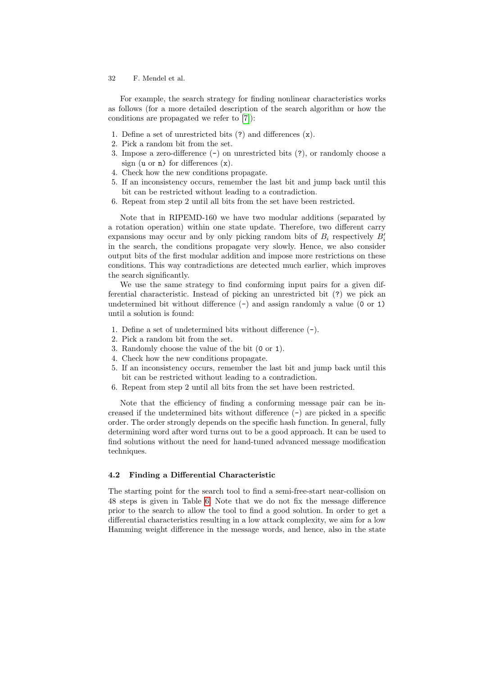For example, the search strategy for finding nonlinear characteristics works as follows (for a more detailed description of the search algorithm or how the conditions are propagated we refer to [7]):

- 1. Define a set of unrestricted bits (?) and differences (x).
- 2. Pick a random bit from the set.
- 3. Impose a zero-difference  $(-)$  on unrestricted bits  $(?)$ , or randomly choose a sign (u or n) for differences  $(x)$ .
- 4. Check how the new conditions propagate.
- 5. If an inconsistency occurs, remember the last bit and jump back until this bit can be restricted without leading to a contradiction.
- 6. Repeat from step 2 until all bits from the set have been restricted.

Note that in RIPEMD-160 we have two modular additions (separated by a rotation operation) within one state update. Therefore, two different carry expansions may occur and by only picking random bits of  $B_i$  respectively  $B_i'$ in the search, the conditions propagate very slowly. Hence, we also consider output bits of the first modular addition and impose more restrictions on these conditions. This way contradictions are detected much earlier, which improves the search significantly.

We use the same strategy to find conforming input pairs for a given differential characteristic. Instead of picking an unrestricted bit (?) we pick an undetermined bit without difference  $(-)$  and assign randomly a value  $(0 \text{ or } 1)$ until a solution is found:

- 1. Define a set of undetermined bits without difference (-).
- 2. Pick a random bit from the set.
- 3. Randomly choose the value of the bit (0 or 1).
- 4. Check how the new conditions propagate.
- 5. If an inconsistency occurs, remember the last bit and jump back until this bit can be restricted without leading to a contradiction.
- 6. Repeat from step 2 until all bits from the set have been restricted.

Note that the efficiency of finding a conforming message pair can be increased if the undetermined bits without difference  $(-)$  are picked in a specific order. The order strongly depends on the specific hash function. In general, fully determining word after word turns out to be a good approach. It can be used to find s[olu](#page-13-0)tions without the need for hand-tuned advanced message modification techniques.

#### 4.2 Finding a Differential Characteristic

The starting point for the search tool to find a semi-free-start near-collision on 48 steps is given in Table 6. Note that we do not fix the message difference prior to the search to allow the tool to find a good solution. In order to get a differential characteristics resulting in a low attack complexity, we aim for a low Hamming weight difference in the message words, and hence, also in the state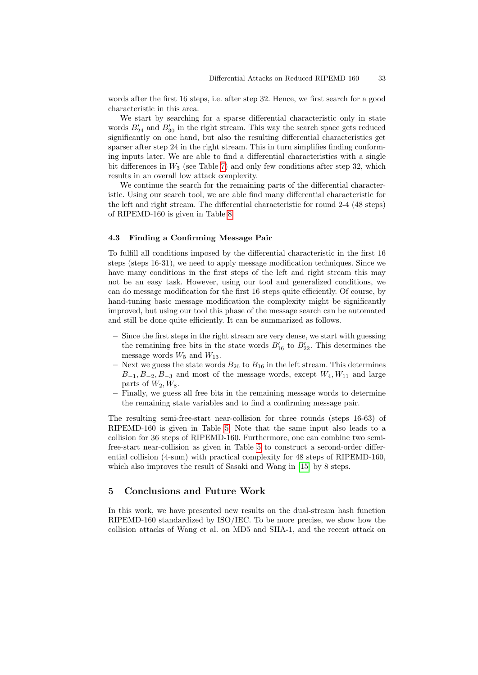words after the first 16 steps, i.e. after step 32. Hence, we first search for a good characteris[tic](#page-14-0) in this area.

We start by searching for a sparse differential characteristic only in state words  $B'_{24}$  and  $B'_{30}$  in the right stream. This way the search space gets reduced significantly on one hand, but also the resulting differential characteristics get sparser after step 24 in the right stream. This in turn simplifies finding conforming inputs la[te](#page-15-0)r. We are able to find a differential characteristics with a single bit differences in  $W_3$  (see Table 7) and only few conditions after step 32, which results in an overall low attack complexity.

We continue the search for the remaining parts of the differential characteristic. Using our search tool, we are able find many differential characteristic for the left and right stream. The differential characteristic for round 2-4 (48 steps) of RIPEMD-160 is given in Table 8.

#### 4.3 Finding a Confirming Message Pair

To fulfill all conditions imposed by the differential characteristic in the first 16 steps (steps 16-31), we need to apply message modification techniques. Since we have many conditions in the first steps of the left and right stream this may not be an easy task. However, using our tool and generalized conditions, we can do message modification for the first 16 steps quite efficiently. Of course, by hand-tuning basic message modification the complexity might be significantly improved, but using our tool this phase of the message search can be automated and still be done quite efficiently. It can be summarized as follows.

- Since the first steps in the right stream are very dense, we start with guessing the remaining free bits in the state words  $B'_{16}$  to  $B'_{22}$ . This determines the message words  $W_5$  and  $W_{13}$ .
- Next we guess the state words  $B_{26}$  to  $B_{16}$  in the left stream. This determines  $B_{-1}, B_{-2}, B_{-3}$  $B_{-1}, B_{-2}, B_{-3}$  $B_{-1}, B_{-2}, B_{-3}$  and most of the message words, except  $W_4, W_{11}$  and large parts of  $W_2, W_8$ .
- Finally, we guess [al](#page-11-0)l free bits in the remaining message words to determine the remaining state variables and to find a confirming message pair.

The resulting semi-free-start ne[ar-c](#page-12-14)ollision for three rounds (steps 16-63) of RIPEMD-160 is given in Table 5. Note that the same input also leads to a collision for 36 steps of RIPEMD-160. Furthermore, one can combine two semifree-start near-collision as given in Table 5 to construct a second-order differential collision (4-sum) with practical complexity for 48 steps of RIPEMD-160, which also improves the result of Sasaki and Wang in [15] by 8 steps.

### 5 Conclusions and Future Work

In this work, we have presented new results on the dual-stream hash function RIPEMD-160 standardized by ISO/IEC. To be more precise, we show how the collision attacks of Wang et al. on MD5 and SHA-1, and the recent attack on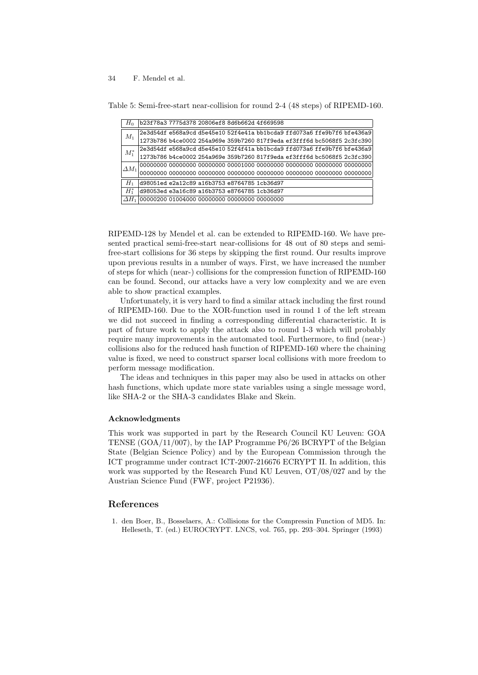| $H_0$           | b23f78a3 7775d378 20806ef8 8d6b662d 4f669598 |                                                                         |  |  |  |
|-----------------|----------------------------------------------|-------------------------------------------------------------------------|--|--|--|
| $M_1$           |                                              | 2e3d54df e568a9cd d5e45e10 52f4e41a bb1bcda9 ffd073a6 ffe9b7f6 bfe436a9 |  |  |  |
|                 |                                              | 1273b786 b4ce0002 254a969e 359b7260 817f9eda ef3fff6d bc5068f5 2c3fc390 |  |  |  |
| $M_1^*$         |                                              | 2e3d54df e568a9cd d5e45e10 52f4f41a bb1bcda9 ffd073a6 ffe9b7f6 bfe436a9 |  |  |  |
|                 |                                              | 1273b786 b4ce0002 254a969e 359b7260 817f9eda ef3fff6d bc5068f5 2c3fc390 |  |  |  |
| $\varDelta M_1$ |                                              |                                                                         |  |  |  |
|                 |                                              |                                                                         |  |  |  |
| $H_1$           |                                              | d98051ed e2a12c89 a16b3753 e8764785 1cb36d97                            |  |  |  |
| $H^*$           |                                              | d98053ed e3a16c89 a16b3753 e8764785 1cb36d97                            |  |  |  |
|                 |                                              | 00000200 01004000 00000000 00000000 00000000                            |  |  |  |

<span id="page-11-0"></span>Table 5: Semi-free-start near-collision for round 2-4 (48 steps) of RIPEMD-160.

RIPEMD-128 by Mendel et al. can be extended to RIPEMD-160. We have presented practical semi-free-start near-collisions for 48 out of 80 steps and semifree-start collisions for 36 steps by skipping the first round. Our results improve upon previous results in a number of ways. First, we have increased the number of steps for which (near-) collisions for the compression function of RIPEMD-160 can be found. Second, our attacks have a very low complexity and we are even able to show practical examples.

Unfortunately, it is very hard to find a similar attack including the first round of RIPEMD-160. Due to the XOR-function used in round 1 of the left stream we did not succeed in finding a corresponding differential characteristic. It is part of future work to apply the attack also to round 1-3 which will probably require many improvements in the automated tool. Furthermore, to find (near-) collisions also for the reduced hash function of RIPEMD-160 where the chaining value is fixed, we need to construct sparser local collisions with more freedom to perform message modification.

The ideas and techniques in this paper may also be used in attacks on other hash functions, which update more state variables using a single message word, like SHA-2 or the SHA-3 candidates Blake and Skein.

#### Acknowledgments

This work was supported in part by the Research Council KU Leuven: GOA TENSE (GOA/11/007), by the IAP Programme P6/26 BCRYPT of the Belgian State (Belgian Science Policy) and by the European Commission through the ICT programme under contract ICT-2007-216676 ECRYPT II. In addition, this work was supported by the Research Fund KU Leuven, OT/08/027 and by the Austrian Science Fund (FWF, project P21936).

## References

1. den Boer, B., Bosselaers, A.: Collisions for the Compressin Function of MD5. In: Helleseth, T. (ed.) EUROCRYPT. LNCS, vol. 765, pp. 293–304. Springer (1993)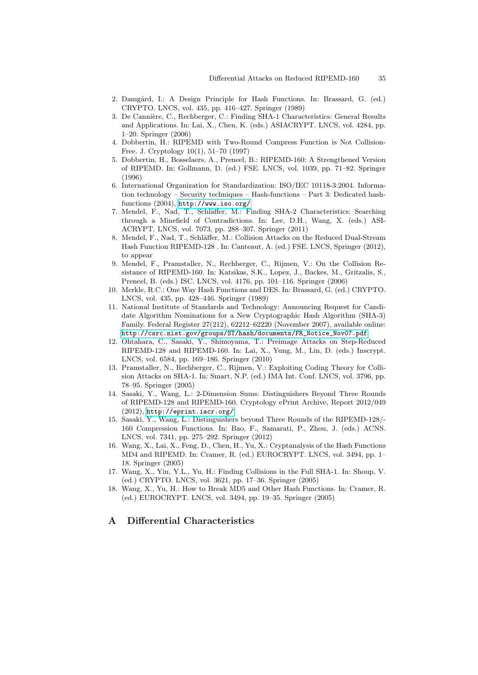- <span id="page-12-13"></span><span id="page-12-8"></span><span id="page-12-6"></span><span id="page-12-3"></span>2. Damgård, I.: A Design Principle for Hash Functions. In: Brassard, G. (ed.) CRYPTO. LNCS, vol. 435, pp. 416–427. Springer (1989)
- <span id="page-12-4"></span>3. De Cannière, C., Rechberger, C.: Finding SHA-1 Characteristics: General Results and Applications. In: Lai, X., Chen, K. (eds.) ASIACRYPT. LNCS, vol. 4284, pp. 1–20. Springer (2006)
- 4. Dobbertin, H.: RIPEMD with Two-Round Compress Function is Not Collision-[Free. J. Cryptolog](http://www.iso.org/)y 10(1), 51–70 (1997)
- <span id="page-12-12"></span>5. Dobbertin, H., Bosselaers, A., Preneel, B.: RIPEMD-160: A Strengthened Version of RIPEMD. In: Gollmann, D. (ed.) FSE. LNCS, vol. 1039, pp. 71–82. Springer (1996)
- <span id="page-12-10"></span>6. International Organization for Standardization: ISO/IEC 10118-3:2004. Information technology – Security techniques – Hash-functions – Part 3: Dedicated hashfunctions (2004), http://www.iso.org/
- <span id="page-12-5"></span>7. Mendel, F., Nad, T., Schläffer, M.: Finding SHA-2 Characteristics: Searching through a Minefield of Contradictions. In: Lee, D.H., Wang, X. (eds.) ASI-ACRYPT. LNCS, vol. 7073, pp. 288–307. Springer (2011)
- <span id="page-12-9"></span>8. Mendel, F., Nad, T., Schläffer, M.: Collision Attacks on the Reduced Dual-Stream Hash Function RIPEMD-128 . In: Canteaut, A. (ed.) FSE. LNCS, Springer (2012), to appear
- <span id="page-12-2"></span>9. Mendel, F., Pramstaller, N., Rechberger, C., Rijmen, V.: On the Collision Resistance of RIPEMD-160. In: Katsikas, S.K., Lopez, J., Backes, M., Gritzalis, S., [Preneel, B. \(eds.\) ISC. LNCS, vol. 4176, pp. 101–116.](http://csrc.nist.gov/groups/ST/hash/documents/FR_Notice_Nov07.pdf) Springer (2006)
- 10. Merkle, R.C.: One Way Hash Functions and DES. In: Brassard, G. (ed.) CRYPTO. LNCS, vol. 435, pp. 428–446. Springer (1989)
- <span id="page-12-11"></span>11. National Institute of Standards and Technology: Announcing Request for Candidate Algorithm Nominations for a New Cryptographic Hash Algorithm (SHA-3) Family. Federal Register 27(212), 62212–62220 (November 2007), available online: http://csrc.nist.gov/groups/ST/hash/documents/FR\_Notice\_Nov07.pdf
- <span id="page-12-7"></span>12. Ohtahara, C., Sasaki, Y., Shimoyama, T.: Preimage Attacks on Step-Reduced RIPEMD-128 and RIPEMD-160. In: Lai, X., Yung, M., Lin, D. (eds.) Inscrypt. [LNCS, vol. 6](http://eprint.iacr.org/)584, pp. 169–186. Springer (2010)
- <span id="page-12-14"></span>13. Pramstaller, N., Rechberger, C., Rijmen, V.: Exploiting Coding Theory for Collision Attacks on SHA-1. In: Smart, N.P. (ed.) IMA Int. Conf. LNCS, vol. 3796, pp. 78–95. Springer (2005)
- <span id="page-12-0"></span>14. Sasaki, Y., Wang, L.: 2-Dimension Sums: Distinguishers Beyond Three Rounds of RIPEMD-128 and RIPEMD-160. Cryptology ePrint Archive, Report 2012/049 (2012), http://eprint.iacr.org/
- 15. Sasaki, Y., Wang, L.: Distinguishers beyond Three Rounds of the RIPEMD-128/- 160 Compression Functions. In: Bao, F., Samarati, P., Zhou, J. (eds.) ACNS. LNCS, vol. 7341, pp. 275–292. Springer (2012)
- <span id="page-12-1"></span>16. Wang, X., Lai, X., Feng, D., Chen, H., Yu, X.: Cryptanalysis of the Hash Functions MD4 and RIPEMD. In: Cramer, R. (ed.) EUROCRYPT. LNCS, vol. 3494, pp. 1– 18. Springer (2005)
- 17. Wang, X., Yin, Y.L., Yu, H.: Finding Collisions in the Full SHA-1. In: Shoup, V. (ed.) CRYPTO. LNCS, vol. 3621, pp. 17–36. Springer (2005)
- 18. Wang, X., Yu, H.: How to Break MD5 and Other Hash Functions. In: Cramer, R. (ed.) EUROCRYPT. LNCS, vol. 3494, pp. 19–35. Springer (2005)

## A Differential Characteristics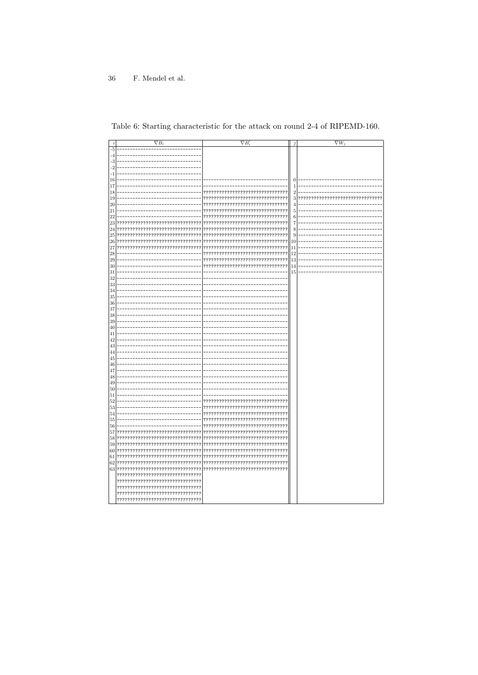| i        | $\nabla B_i$                          | $\nabla B_i'$                         | j              | $\nabla W_i$ |
|----------|---------------------------------------|---------------------------------------|----------------|--------------|
| $-5$     |                                       |                                       |                |              |
| -4       |                                       |                                       |                |              |
| -3       |                                       |                                       |                |              |
| $-2$     |                                       |                                       |                |              |
| $^{-1}$  |                                       |                                       |                |              |
| 16       |                                       |                                       | $\theta$       |              |
| 17       |                                       |                                       | $\mathbf{1}$   |              |
| 18       |                                       | ??????????????????????????<br>??????  | $\overline{2}$ |              |
| 19       |                                       | ?????????????????????????????????     | 3              |              |
| 20       |                                       | ?????????????????????????????????     | 4              |              |
| 21       |                                       | '????<br>???????<br>,,,,,,,,,,,,,,,,, | 5              |              |
| 22       |                                       | ?????????????????????????????????     | 6              |              |
| 23       | ?????????????????????????????????     | ?????????????????????????????????     | $\overline{7}$ |              |
| 24       | ?????????????????????????????????     | ?????????????????????????????????     | 8              |              |
| 25       | ??????????????????????????            | ????<br>????????????????????????????? | 9              |              |
| 26       | ??????????????                        |                                       | 10             |              |
| 27       | ????                                  | ?????????????????????????????????     | 11             |              |
| 28       |                                       |                                       | 12             |              |
| 29<br>30 |                                       | ?????????<br>???????????????????????? | 13<br>14       |              |
| 31       |                                       | ???                                   | 15             |              |
| 32       |                                       |                                       |                |              |
| 33       |                                       |                                       |                |              |
| 34       |                                       |                                       |                |              |
| 35       |                                       |                                       |                |              |
| 36       |                                       |                                       |                |              |
| 37       |                                       |                                       |                |              |
| 38       |                                       |                                       |                |              |
| 39       |                                       |                                       |                |              |
| 40       |                                       |                                       |                |              |
| 41       |                                       |                                       |                |              |
| 42       |                                       |                                       |                |              |
| 43       |                                       |                                       |                |              |
| 44       |                                       |                                       |                |              |
| 45       |                                       |                                       |                |              |
| 46       |                                       |                                       |                |              |
| 47       |                                       |                                       |                |              |
| 48       |                                       |                                       |                |              |
| 49       |                                       |                                       |                |              |
| 50       |                                       |                                       |                |              |
| 51       |                                       |                                       |                |              |
| 52       |                                       | ????????????????????????????????      |                |              |
| 53       |                                       | ?????????????????????????????????     |                |              |
| 54       |                                       | ?????????????????????????????????     |                |              |
| 55       |                                       | ?????????????????????????????????     |                |              |
| 56       |                                       | ?????????????????????????????????     |                |              |
| 57       | ?????????????????????????????????     | ???????????????????????????<br>?????? |                |              |
| 58       |                                       | ?????????????????????????????????     |                |              |
| 59       | ???????????????????????????           | ?????????????????????????????????     |                |              |
| 60       | ?????????????????????????????????     |                                       |                |              |
| 61       | ?????????????????????????????????     | ?????????????????????????????????     |                |              |
| 62       | ???????????????????????????<br>?????? | ?????????????????????????????????     |                |              |
|          |                                       |                                       |                |              |
|          | ?????????????????????????????????     |                                       |                |              |
|          | ?????????????????????????????????     |                                       |                |              |
|          | ?????????????????????????????????     |                                       |                |              |
|          | ?????????????????????????????????     |                                       |                |              |
|          | ?????????????????????????????????     |                                       |                |              |

## <span id="page-13-0"></span>Table 6: Starting characteristic for the attack on round 2-4 of RIPEMD-160.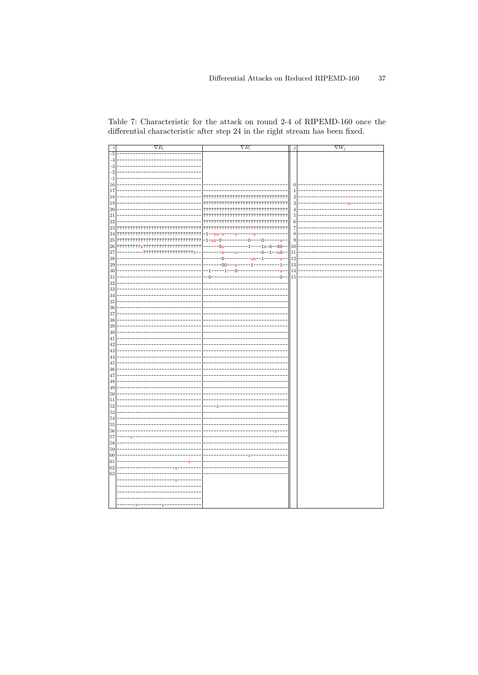<span id="page-14-0"></span>

| Table 7: Characteristic for the attack on round 2-4 of RIPEMD-160 once the    |  |  |  |  |
|-------------------------------------------------------------------------------|--|--|--|--|
| differential characteristic after step 24 in the right stream has been fixed. |  |  |  |  |

| $\dot{i}$ | $\nabla B_i$                      | $\nabla B_i'$                     | 1              | $\overline{\nabla W}_j$ |
|-----------|-----------------------------------|-----------------------------------|----------------|-------------------------|
| $-5$      |                                   |                                   |                |                         |
| $-4$      |                                   |                                   |                |                         |
| $-3$      |                                   |                                   |                |                         |
| $-2$      |                                   |                                   |                |                         |
| $-1$      |                                   |                                   |                |                         |
| 16        |                                   |                                   | $\theta$       |                         |
| 17        |                                   |                                   | $\mathbf{1}$   |                         |
| 18        |                                   |                                   | $\overline{2}$ |                         |
| 19        |                                   | ????????????????????????????????? | 3              |                         |
| 20        |                                   |                                   | $\overline{4}$ |                         |
| 21        |                                   | ????????????????????????????????? | 5              |                         |
| 22        |                                   |                                   | 6              |                         |
| 23        |                                   |                                   | $\overline{7}$ |                         |
| 24        | ????????????????????????????????? | $-1-$<br>'n<br>-n11<br>11         | 8              |                         |
| 25        | ??                                | $-1$ -un<br>u-<br>0<br>Ω          | 9              |                         |
| 26        | ??????????????????????<br>???     | $1n - 0 - 00 - -$<br>0ט           | 10             |                         |
| 27        | ??????<br>7v                      | $n0-$                             | 11             |                         |
| 28        |                                   | $n-$                              | 12             |                         |
| 29        |                                   | იი                                | 13             |                         |
| 30        |                                   | 1                                 | 14             |                         |
| 31        |                                   |                                   | 15             |                         |
| 32        |                                   |                                   |                |                         |
| 33        |                                   |                                   |                |                         |
| 34        |                                   |                                   |                |                         |
| 35        |                                   |                                   |                |                         |
| 36        |                                   |                                   |                |                         |
| 37        |                                   |                                   |                |                         |
| 38        |                                   |                                   |                |                         |
| 39        |                                   |                                   |                |                         |
| 40<br>41  |                                   |                                   |                |                         |
| 42        |                                   |                                   |                |                         |
| 43        |                                   |                                   |                |                         |
| 44        |                                   |                                   |                |                         |
| 45        |                                   |                                   |                |                         |
| 46        |                                   |                                   |                |                         |
| 47        |                                   |                                   |                |                         |
| 48        |                                   |                                   |                |                         |
| 49        |                                   |                                   |                |                         |
| 50        |                                   |                                   |                |                         |
| 51        |                                   |                                   |                |                         |
| 52<br>53  |                                   |                                   |                |                         |
| 54        |                                   |                                   |                |                         |
| 55        |                                   |                                   |                |                         |
| 56        |                                   |                                   |                |                         |
| 57        |                                   |                                   |                |                         |
| 58        |                                   |                                   |                |                         |
| 59        |                                   |                                   |                |                         |
| 60        |                                   |                                   |                |                         |
| 61        |                                   |                                   |                |                         |
| 62        |                                   |                                   |                |                         |
| 63        |                                   |                                   |                |                         |
|           |                                   |                                   |                |                         |
|           |                                   |                                   |                |                         |
|           |                                   |                                   |                |                         |
|           |                                   |                                   |                |                         |
|           |                                   |                                   |                |                         |